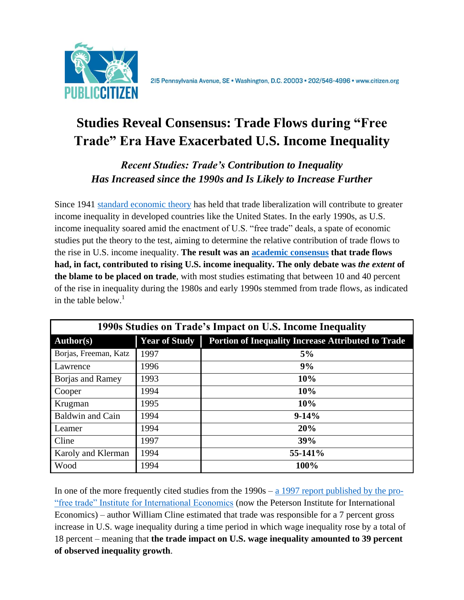

# **Studies Reveal Consensus: Trade Flows during "Free Trade" Era Have Exacerbated U.S. Income Inequality**

## *Recent Studies: Trade's Contribution to Inequality Has Increased since the 1990s and Is Likely to Increase Further*

Since 1941 [standard economic theory](http://www.jstor.org/discover/10.2307/2967638?uid=3739584&uid=2&uid=4&uid=3739256&sid=21103307593851) has held that trade liberalization will contribute to greater income inequality in developed countries like the United States. In the early 1990s, as U.S. income inequality soared amid the enactment of U.S. "free trade" deals, a spate of economic studies put the theory to the test, aiming to determine the relative contribution of trade flows to the rise in U.S. income inequality. **The result was an [academic consensus](http://www.brookings.edu/~/media/Projects/BPEA/Spring%202008/2008a_bpea_krugman.PDF) that trade flows had, in fact, contributed to rising U.S. income inequality. The only debate was** *the extent* **of the blame to be placed on trade**, with most studies estimating that between 10 and 40 percent of the rise in inequality during the 1980s and early 1990s stemmed from trade flows, as indicated in the table below.<sup>1</sup>

| 1990s Studies on Trade's Impact on U.S. Income Inequality |                      |                                                           |
|-----------------------------------------------------------|----------------------|-----------------------------------------------------------|
| <b>Author(s)</b>                                          | <b>Year of Study</b> | <b>Portion of Inequality Increase Attributed to Trade</b> |
| Borjas, Freeman, Katz                                     | 1997                 | 5%                                                        |
| Lawrence                                                  | 1996                 | 9%                                                        |
| <b>Borjas and Ramey</b>                                   | 1993                 | 10%                                                       |
| Cooper                                                    | 1994                 | 10%                                                       |
| Krugman                                                   | 1995                 | 10%                                                       |
| <b>Baldwin and Cain</b>                                   | 1994                 | $9-14%$                                                   |
| Leamer                                                    | 1994                 | 20%                                                       |
| Cline                                                     | 1997                 | 39%                                                       |
| Karoly and Klerman                                        | 1994                 | 55-141%                                                   |
| Wood                                                      | 1994                 | 100%                                                      |

In one of the more frequently cited studies from the 1990s – a 1997 report [published by the pro-](http://www.iie.com/publications/pb/pb.cfm?ResearchID=94) ["free trade" Institute for International Economics](http://www.iie.com/publications/pb/pb.cfm?ResearchID=94) (now the Peterson Institute for International Economics) – author William Cline estimated that trade was responsible for a 7 percent gross increase in U.S. wage inequality during a time period in which wage inequality rose by a total of 18 percent – meaning that **the trade impact on U.S. wage inequality amounted to 39 percent of observed inequality growth**.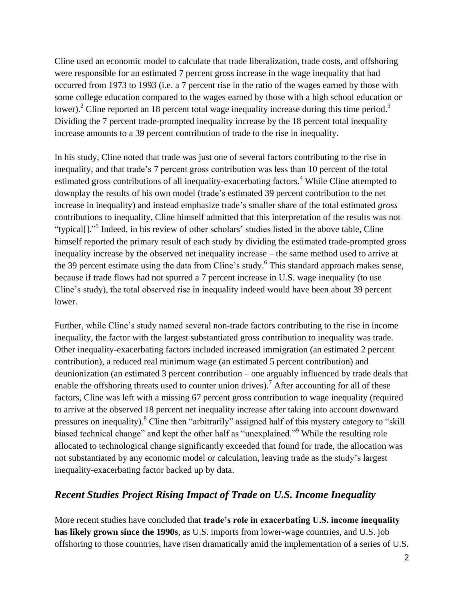Cline used an economic model to calculate that trade liberalization, trade costs, and offshoring were responsible for an estimated 7 percent gross increase in the wage inequality that had occurred from 1973 to 1993 (i.e. a 7 percent rise in the ratio of the wages earned by those with some college education compared to the wages earned by those with a high school education or lower).<sup>2</sup> Cline reported an 18 percent total wage inequality increase during this time period.<sup>3</sup> Dividing the 7 percent trade-prompted inequality increase by the 18 percent total inequality increase amounts to a 39 percent contribution of trade to the rise in inequality.

In his study, Cline noted that trade was just one of several factors contributing to the rise in inequality, and that trade's 7 percent gross contribution was less than 10 percent of the total estimated gross contributions of all inequality-exacerbating factors.<sup>4</sup> While Cline attempted to downplay the results of his own model (trade's estimated 39 percent contribution to the net increase in inequality) and instead emphasize trade's smaller share of the total estimated *gross*  contributions to inequality, Cline himself admitted that this interpretation of the results was not "typical[]."<sup>5</sup> Indeed, in his review of other scholars' studies listed in the above table, Cline himself reported the primary result of each study by dividing the estimated trade-prompted gross inequality increase by the observed net inequality increase – the same method used to arrive at the 39 percent estimate using the data from Cline's study.<sup>6</sup> This standard approach makes sense, because if trade flows had not spurred a 7 percent increase in U.S. wage inequality (to use Cline's study), the total observed rise in inequality indeed would have been about 39 percent lower.

Further, while Cline's study named several non-trade factors contributing to the rise in income inequality, the factor with the largest substantiated gross contribution to inequality was trade. Other inequality-exacerbating factors included increased immigration (an estimated 2 percent contribution), a reduced real minimum wage (an estimated 5 percent contribution) and deunionization (an estimated 3 percent contribution – one arguably influenced by trade deals that enable the offshoring threats used to counter union drives).<sup>7</sup> After accounting for all of these factors, Cline was left with a missing 67 percent gross contribution to wage inequality (required to arrive at the observed 18 percent net inequality increase after taking into account downward pressures on inequality).<sup>8</sup> Cline then "arbitrarily" assigned half of this mystery category to "skill biased technical change" and kept the other half as "unexplained."<sup>9</sup> While the resulting role allocated to technological change significantly exceeded that found for trade, the allocation was not substantiated by any economic model or calculation, leaving trade as the study's largest inequality-exacerbating factor backed up by data.

#### *Recent Studies Project Rising Impact of Trade on U.S. Income Inequality*

More recent studies have concluded that **trade's role in exacerbating U.S. income inequality has likely grown since the 1990s**, as U.S. imports from lower-wage countries, and U.S. job offshoring to those countries, have risen dramatically amid the implementation of a series of U.S.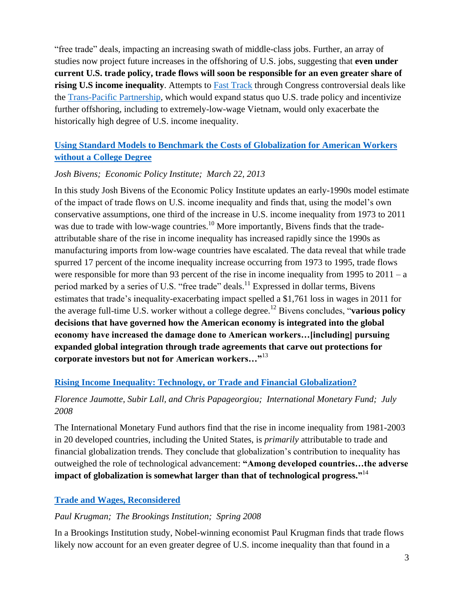"free trade" deals, impacting an increasing swath of middle-class jobs. Further, an array of studies now project future increases in the offshoring of U.S. jobs, suggesting that **even under current U.S. trade policy, trade flows will soon be responsible for an even greater share of rising U.S income inequality**. Attempts to [Fast Track](http://www.citizen.org/fast-track) through Congress controversial deals like the [Trans-Pacific](http://www.citizen.org/tpp) Partnership, which would expand status quo U.S. trade policy and incentivize further offshoring, including to extremely-low-wage Vietnam, would only exacerbate the historically high degree of U.S. income inequality.

## **[Using Standard Models to Benchmark the Costs of Globalization for American Workers](http://s3.epi.org/files/2013/standard-models-benchmark-costs-globalization.pdf)  [without a College Degree](http://s3.epi.org/files/2013/standard-models-benchmark-costs-globalization.pdf)**

#### *Josh Bivens; Economic Policy Institute; March 22, 2013*

In this study Josh Bivens of the Economic Policy Institute updates an early-1990s model estimate of the impact of trade flows on U.S. income inequality and finds that, using the model's own conservative assumptions, one third of the increase in U.S. income inequality from 1973 to 2011 was due to trade with low-wage countries.<sup>10</sup> More importantly, Bivens finds that the tradeattributable share of the rise in income inequality has increased rapidly since the 1990s as manufacturing imports from low-wage countries have escalated. The data reveal that while trade spurred 17 percent of the income inequality increase occurring from 1973 to 1995, trade flows were responsible for more than 93 percent of the rise in income inequality from 1995 to 2011 – a period marked by a series of U.S. "free trade" deals.<sup>11</sup> Expressed in dollar terms, Bivens estimates that trade's inequality-exacerbating impact spelled a \$1,761 loss in wages in 2011 for the average full-time U.S. worker without a college degree.<sup>12</sup> Bivens concludes, "**various policy decisions that have governed how the American economy is integrated into the global economy have increased the damage done to American workers…[including] pursuing expanded global integration through trade agreements that carve out protections for corporate investors but not for American workers…"**<sup>13</sup>

## **[Rising Income Inequality: Technology, or Trade and Financial Globalization?](http://www.imf.org/external/pubs/ft/wp/2008/wp08185.pdf)**

## *Florence Jaumotte, Subir Lall, and Chris Papageorgiou; International Monetary Fund; July 2008*

The International Monetary Fund authors find that the rise in income inequality from 1981-2003 in 20 developed countries, including the United States, is *primarily* attributable to trade and financial globalization trends. They conclude that globalization's contribution to inequality has outweighed the role of technological advancement: **"Among developed countries…the adverse impact of globalization is somewhat larger than that of technological progress."** 14

## **[Trade and Wages, Reconsidered](http://www.brookings.edu/~/media/Projects/BPEA/Spring%202008/2008a_bpea_krugman.PDF)**

#### *Paul Krugman; The Brookings Institution; Spring 2008*

In a Brookings Institution study, Nobel-winning economist Paul Krugman finds that trade flows likely now account for an even greater degree of U.S. income inequality than that found in a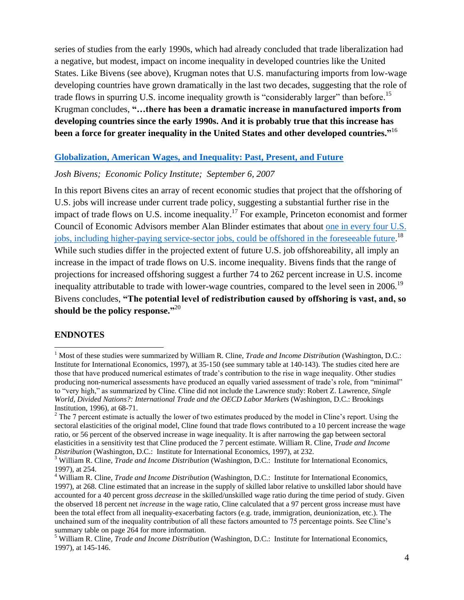series of studies from the early 1990s, which had already concluded that trade liberalization had a negative, but modest, impact on income inequality in developed countries like the United States. Like Bivens (see above), Krugman notes that U.S. manufacturing imports from low-wage developing countries have grown dramatically in the last two decades, suggesting that the role of trade flows in spurring U.S. income inequality growth is "considerably larger" than before.<sup>15</sup> Krugman concludes, **"…there has been a dramatic increase in manufactured imports from developing countries since the early 1990s. And it is probably true that this increase has been a force for greater inequality in the United States and other developed countries."** 16

#### **[Globalization, American Wages, and Inequality: Past, Present, and Future](http://s1.epi.org/files/page/-/old/workingpapers/wp279.pdf)**

#### *Josh Bivens; Economic Policy Institute; September 6, 2007*

In this report Bivens cites an array of recent economic studies that project that the offshoring of U.S. jobs will increase under current trade policy, suggesting a substantial further rise in the impact of trade flows on U.S. income inequality.<sup>17</sup> For example, Princeton economist and former Council of Economic Advisors member Alan Blinder estimates that about one [in every four U.S.](http://www.voxeu.org/article/twenty-five-percent-us-jobs-are-offshorable)  [jobs, including higher-paying service-sector jobs,](http://www.voxeu.org/article/twenty-five-percent-us-jobs-are-offshorable) could be offshored in the foreseeable future.<sup>18</sup> While such studies differ in the projected extent of future U.S. job offshoreability, all imply an increase in the impact of trade flows on U.S. income inequality. Bivens finds that the range of projections for increased offshoring suggest a further 74 to 262 percent increase in U.S. income inequality attributable to trade with lower-wage countries, compared to the level seen in 2006.<sup>19</sup> Bivens concludes, **"The potential level of redistribution caused by offshoring is vast, and, so should be the policy response."** 20

#### **ENDNOTES**

 $\overline{\phantom{a}}$ 

<sup>&</sup>lt;sup>1</sup> Most of these studies were summarized by William R. Cline, *Trade and Income Distribution* (Washington, D.C.: Institute for International Economics, 1997), at 35-150 (see summary table at 140-143). The studies cited here are those that have produced numerical estimates of trade's contribution to the rise in wage inequality. Other studies producing non-numerical assessments have produced an equally varied assessment of trade's role, from "minimal" to "very high," as summarized by Cline. Cline did not include the Lawrence study: Robert Z. Lawrence, *Single World, Divided Nations?: International Trade and the OECD Labor Markets* (Washington, D.C.: Brookings Institution, 1996), at 68-71.

 $2$  The 7 percent estimate is actually the lower of two estimates produced by the model in Cline's report. Using the sectoral elasticities of the original model, Cline found that trade flows contributed to a 10 percent increase the wage ratio, or 56 percent of the observed increase in wage inequality. It is after narrowing the gap between sectoral elasticities in a sensitivity test that Cline produced the 7 percent estimate. William R. Cline, *Trade and Income Distribution* (Washington, D.C.: Institute for International Economics, 1997), at 232.

<sup>3</sup> William R. Cline, *Trade and Income Distribution* (Washington, D.C.: Institute for International Economics, 1997), at 254.

<sup>4</sup> William R. Cline, *Trade and Income Distribution* (Washington, D.C.: Institute for International Economics, 1997), at 268. Cline estimated that an increase in the supply of skilled labor relative to unskilled labor should have accounted for a 40 percent gross *decrease* in the skilled/unskilled wage ratio during the time period of study. Given the observed 18 percent net *increase* in the wage ratio, Cline calculated that a 97 percent gross increase must have been the total effect from all inequality-exacerbating factors (e.g. trade, immigration, deunionization, etc.). The unchained sum of the inequality contribution of all these factors amounted to 75 percentage points. See Cline's summary table on page 264 for more information.

<sup>5</sup> William R. Cline, *Trade and Income Distribution* (Washington, D.C.: Institute for International Economics, 1997), at 145-146.